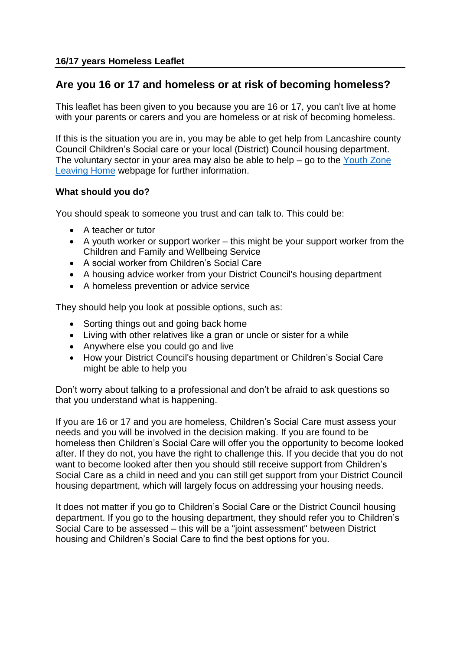# **Are you 16 or 17 and homeless or at risk of becoming homeless?**

This leaflet has been given to you because you are 16 or 17, you can't live at home with your parents or carers and you are homeless or at risk of becoming homeless.

If this is the situation you are in, you may be able to get help from Lancashire county Council Children's Social care or your local (District) Council housing department. The voluntary sector in your area may also be able to help – go to the [Youth Zone](http://www.lancashire.gov.uk/youthzone/need-to-know/leaving-home.aspx)  [Leaving Home](http://www.lancashire.gov.uk/youthzone/need-to-know/leaving-home.aspx) webpage for further information.

## **What should you do?**

You should speak to someone you trust and can talk to. This could be:

- A teacher or tutor
- A youth worker or support worker this might be your support worker from the Children and Family and Wellbeing Service
- A social worker from Children's Social Care
- A housing advice worker from your District Council's housing department
- A homeless prevention or advice service

They should help you look at possible options, such as:

- Sorting things out and going back home
- Living with other relatives like a gran or uncle or sister for a while
- Anywhere else you could go and live
- How your District Council's housing department or Children's Social Care might be able to help you

Don't worry about talking to a professional and don't be afraid to ask questions so that you understand what is happening.

If you are 16 or 17 and you are homeless, Children's Social Care must assess your needs and you will be involved in the decision making. If you are found to be homeless then Children's Social Care will offer you the opportunity to become looked after. If they do not, you have the right to challenge this. If you decide that you do not want to become looked after then you should still receive support from Children's Social Care as a child in need and you can still get support from your District Council housing department, which will largely focus on addressing your housing needs.

It does not matter if you go to Children's Social Care or the District Council housing department. If you go to the housing department, they should refer you to Children's Social Care to be assessed – this will be a "joint assessment" between District housing and Children's Social Care to find the best options for you.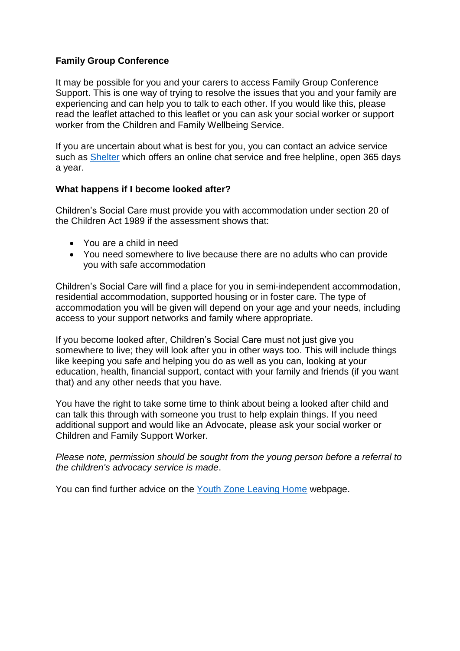## **Family Group Conference**

It may be possible for you and your carers to access Family Group Conference Support. This is one way of trying to resolve the issues that you and your family are experiencing and can help you to talk to each other. If you would like this, please read the leaflet attached to this leaflet or you can ask your social worker or support worker from the Children and Family Wellbeing Service.

If you are uncertain about what is best for you, you can contact an advice service such as [Shelter](http://www.shelter.org.uk/) which offers an online chat service and free helpline, open 365 days a year.

#### **What happens if I become looked after?**

Children's Social Care must provide you with accommodation under section 20 of the Children Act 1989 if the assessment shows that:

- You are a child in need
- You need somewhere to live because there are no adults who can provide you with safe accommodation

Children's Social Care will find a place for you in semi-independent accommodation, residential accommodation, supported housing or in foster care. The type of accommodation you will be given will depend on your age and your needs, including access to your support networks and family where appropriate.

If you become looked after, Children's Social Care must not just give you somewhere to live; they will look after you in other ways too. This will include things like keeping you safe and helping you do as well as you can, looking at your education, health, financial support, contact with your family and friends (if you want that) and any other needs that you have.

You have the right to take some time to think about being a looked after child and can talk this through with someone you trust to help explain things. If you need additional support and would like an Advocate, please ask your social worker or Children and Family Support Worker.

*Please note, permission should be sought from the young person before a referral to the children's advocacy service is made*.

You can find further advice on the [Youth Zone Leaving Home](http://www.lancashire.gov.uk/youthzone/need-to-know/leaving-home.aspx) webpage.